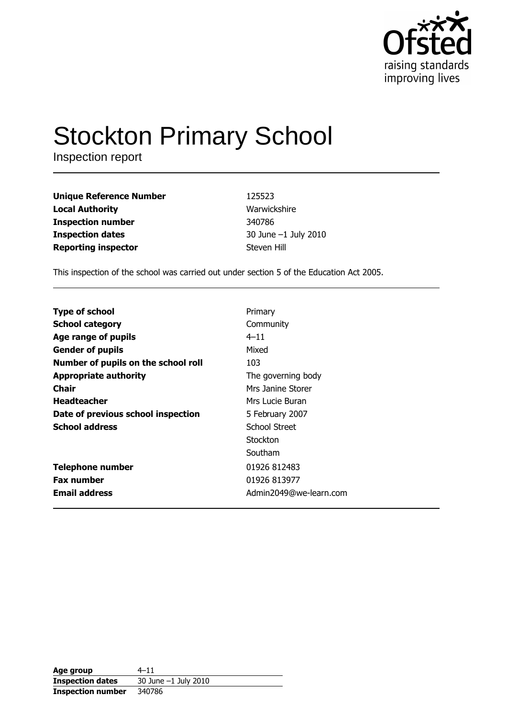

# **Stockton Primary School**

Inspection report

| <b>Unique Reference Number</b> |  |
|--------------------------------|--|
| <b>Local Authority</b>         |  |
| <b>Inspection number</b>       |  |
| <b>Inspection dates</b>        |  |
| <b>Reporting inspector</b>     |  |

125523 Warwickshire 340786 30 June -1 July 2010 Steven Hill

This inspection of the school was carried out under section 5 of the Education Act 2005.

| <b>Type of school</b>                      | Primary                |
|--------------------------------------------|------------------------|
|                                            |                        |
| <b>School category</b>                     | Community              |
| $4 - 11$<br>Age range of pupils            |                        |
| Mixed<br><b>Gender of pupils</b>           |                        |
| Number of pupils on the school roll<br>103 |                        |
| <b>Appropriate authority</b>               | The governing body     |
| <b>Chair</b>                               | Mrs Janine Storer      |
| <b>Headteacher</b>                         | Mrs Lucie Buran        |
| Date of previous school inspection         | 5 February 2007        |
| <b>School address</b>                      | School Street          |
|                                            | Stockton               |
|                                            | Southam                |
| <b>Telephone number</b>                    | 01926 812483           |
| <b>Fax number</b>                          | 01926 813977           |
| <b>Email address</b>                       | Admin2049@we-learn.com |

| Age group                | $4 - 11$             |
|--------------------------|----------------------|
| <b>Inspection dates</b>  | 30 June -1 July 2010 |
| <b>Inspection number</b> | 340786               |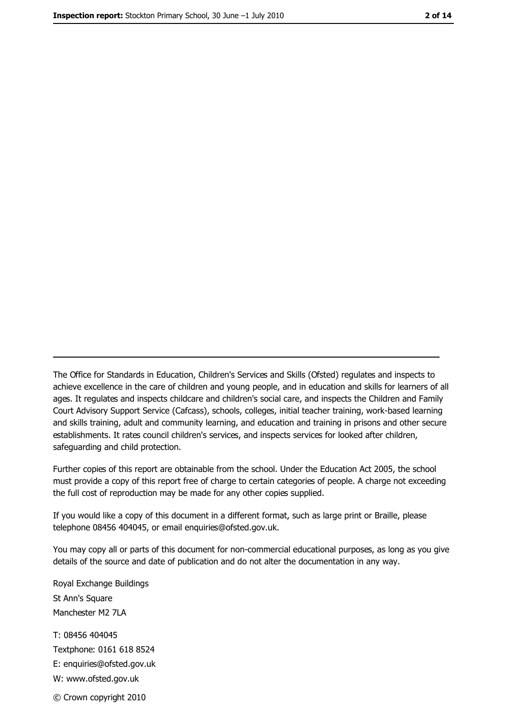The Office for Standards in Education, Children's Services and Skills (Ofsted) regulates and inspects to achieve excellence in the care of children and young people, and in education and skills for learners of all ages. It regulates and inspects childcare and children's social care, and inspects the Children and Family Court Advisory Support Service (Cafcass), schools, colleges, initial teacher training, work-based learning and skills training, adult and community learning, and education and training in prisons and other secure establishments. It rates council children's services, and inspects services for looked after children, safequarding and child protection.

Further copies of this report are obtainable from the school. Under the Education Act 2005, the school must provide a copy of this report free of charge to certain categories of people. A charge not exceeding the full cost of reproduction may be made for any other copies supplied.

If you would like a copy of this document in a different format, such as large print or Braille, please telephone 08456 404045, or email enquiries@ofsted.gov.uk.

You may copy all or parts of this document for non-commercial educational purposes, as long as you give details of the source and date of publication and do not alter the documentation in any way.

Royal Exchange Buildings St Ann's Square Manchester M2 7LA T: 08456 404045 Textphone: 0161 618 8524 E: enquiries@ofsted.gov.uk W: www.ofsted.gov.uk © Crown copyright 2010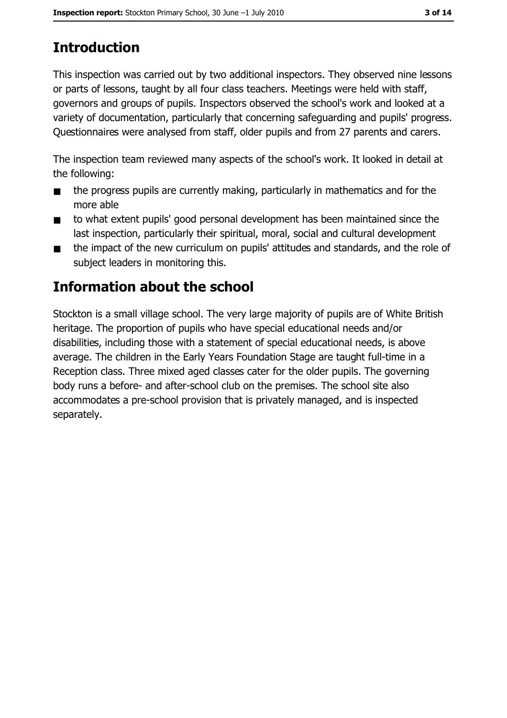# **Introduction**

This inspection was carried out by two additional inspectors. They observed nine lessons or parts of lessons, taught by all four class teachers. Meetings were held with staff, governors and groups of pupils. Inspectors observed the school's work and looked at a variety of documentation, particularly that concerning safeguarding and pupils' progress. Questionnaires were analysed from staff, older pupils and from 27 parents and carers.

The inspection team reviewed many aspects of the school's work. It looked in detail at the following:

- the progress pupils are currently making, particularly in mathematics and for the  $\blacksquare$ more able
- to what extent pupils' good personal development has been maintained since the  $\blacksquare$ last inspection, particularly their spiritual, moral, social and cultural development
- the impact of the new curriculum on pupils' attitudes and standards, and the role of  $\blacksquare$ subject leaders in monitoring this.

## Information about the school

Stockton is a small village school. The very large majority of pupils are of White British heritage. The proportion of pupils who have special educational needs and/or disabilities, including those with a statement of special educational needs, is above average. The children in the Early Years Foundation Stage are taught full-time in a Reception class. Three mixed aged classes cater for the older pupils. The governing body runs a before- and after-school club on the premises. The school site also accommodates a pre-school provision that is privately managed, and is inspected separately.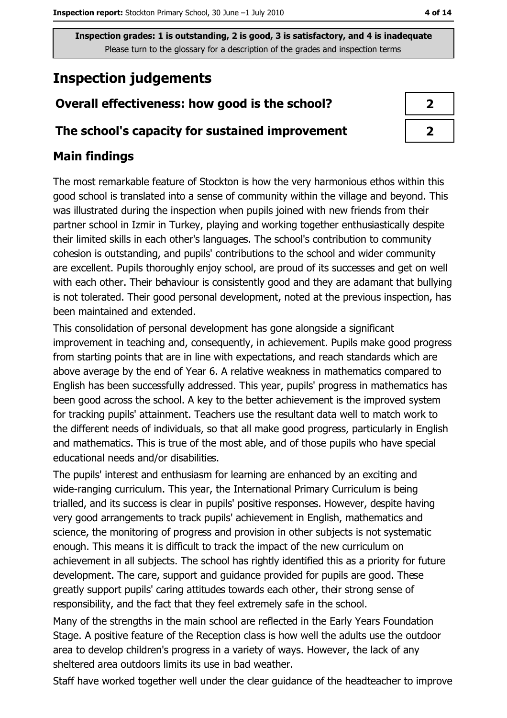## **Inspection judgements**

### Overall effectiveness: how good is the school?

#### The school's capacity for sustained improvement

#### **Main findings**

The most remarkable feature of Stockton is how the very harmonious ethos within this good school is translated into a sense of community within the village and beyond. This was illustrated during the inspection when pupils joined with new friends from their partner school in Izmir in Turkey, playing and working together enthusiastically despite their limited skills in each other's languages. The school's contribution to community cohesion is outstanding, and pupils' contributions to the school and wider community are excellent. Pupils thoroughly enjoy school, are proud of its successes and get on well with each other. Their behaviour is consistently good and they are adamant that bullying is not tolerated. Their good personal development, noted at the previous inspection, has been maintained and extended.

This consolidation of personal development has gone alongside a significant improvement in teaching and, consequently, in achievement. Pupils make good progress from starting points that are in line with expectations, and reach standards which are above average by the end of Year 6. A relative weakness in mathematics compared to English has been successfully addressed. This year, pupils' progress in mathematics has been good across the school. A key to the better achievement is the improved system for tracking pupils' attainment. Teachers use the resultant data well to match work to the different needs of individuals, so that all make good progress, particularly in English and mathematics. This is true of the most able, and of those pupils who have special educational needs and/or disabilities.

The pupils' interest and enthusiasm for learning are enhanced by an exciting and wide-ranging curriculum. This year, the International Primary Curriculum is being trialled, and its success is clear in pupils' positive responses. However, despite having very good arrangements to track pupils' achievement in English, mathematics and science, the monitoring of progress and provision in other subjects is not systematic enough. This means it is difficult to track the impact of the new curriculum on achievement in all subjects. The school has rightly identified this as a priority for future development. The care, support and quidance provided for pupils are good. These greatly support pupils' caring attitudes towards each other, their strong sense of responsibility, and the fact that they feel extremely safe in the school.

Many of the strengths in the main school are reflected in the Early Years Foundation Stage. A positive feature of the Reception class is how well the adults use the outdoor area to develop children's progress in a variety of ways. However, the lack of any sheltered area outdoors limits its use in bad weather.

Staff have worked together well under the clear guidance of the headteacher to improve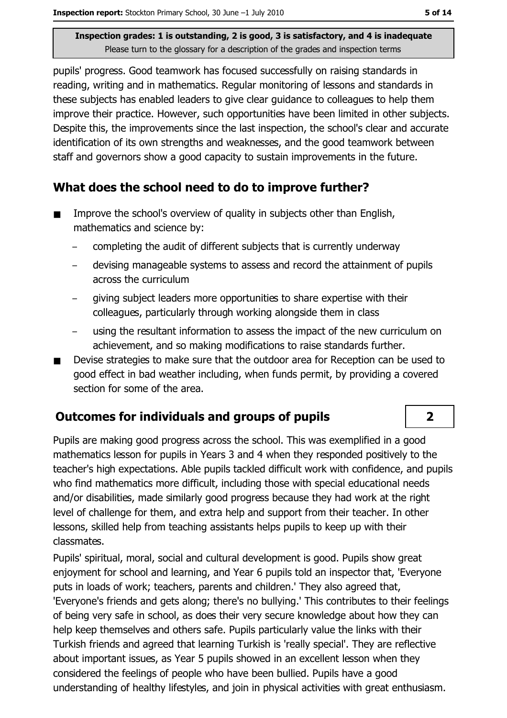pupils' progress. Good teamwork has focused successfully on raising standards in reading, writing and in mathematics. Regular monitoring of lessons and standards in these subjects has enabled leaders to give clear guidance to colleagues to help them improve their practice. However, such opportunities have been limited in other subjects. Despite this, the improvements since the last inspection, the school's clear and accurate identification of its own strengths and weaknesses, and the good teamwork between staff and governors show a good capacity to sustain improvements in the future.

#### What does the school need to do to improve further?

- Improve the school's overview of quality in subjects other than English,  $\blacksquare$ mathematics and science by:
	- completing the audit of different subjects that is currently underway  $\equiv$
	- devising manageable systems to assess and record the attainment of pupils  $\equiv$ across the curriculum
	- giving subject leaders more opportunities to share expertise with their colleagues, particularly through working alongside them in class
	- using the resultant information to assess the impact of the new curriculum on achievement, and so making modifications to raise standards further.
- Devise strategies to make sure that the outdoor area for Reception can be used to  $\blacksquare$ good effect in bad weather including, when funds permit, by providing a covered section for some of the area.

#### **Outcomes for individuals and groups of pupils**

Pupils are making good progress across the school. This was exemplified in a good mathematics lesson for pupils in Years 3 and 4 when they responded positively to the teacher's high expectations. Able pupils tackled difficult work with confidence, and pupils who find mathematics more difficult, including those with special educational needs and/or disabilities, made similarly good progress because they had work at the right level of challenge for them, and extra help and support from their teacher. In other lessons, skilled help from teaching assistants helps pupils to keep up with their classmates.

Pupils' spiritual, moral, social and cultural development is good. Pupils show great enjoyment for school and learning, and Year 6 pupils told an inspector that, 'Everyone puts in loads of work; teachers, parents and children.' They also agreed that, 'Everyone's friends and gets along; there's no bullying.' This contributes to their feelings of being very safe in school, as does their very secure knowledge about how they can help keep themselves and others safe. Pupils particularly value the links with their Turkish friends and agreed that learning Turkish is 'really special'. They are reflective about important issues, as Year 5 pupils showed in an excellent lesson when they considered the feelings of people who have been bullied. Pupils have a good understanding of healthy lifestyles, and join in physical activities with great enthusiasm.

 $2<sup>1</sup>$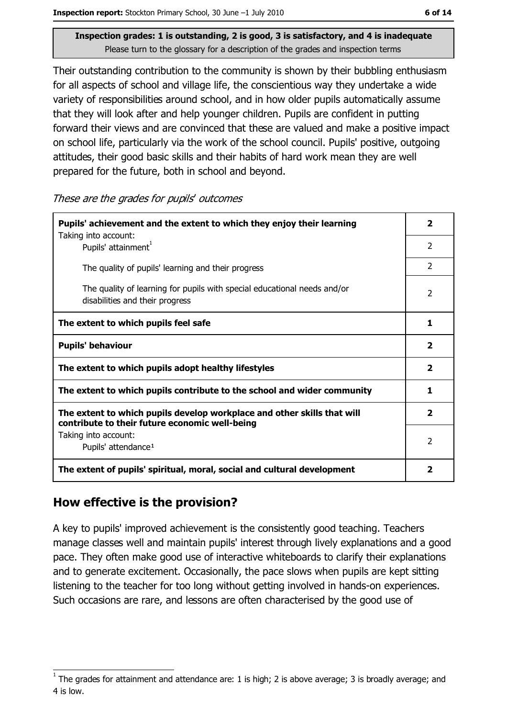Their outstanding contribution to the community is shown by their bubbling enthusiasm for all aspects of school and village life, the conscientious way they undertake a wide variety of responsibilities around school, and in how older pupils automatically assume that they will look after and help younger children. Pupils are confident in putting forward their views and are convinced that these are valued and make a positive impact on school life, particularly via the work of the school council. Pupils' positive, outgoing attitudes, their good basic skills and their habits of hard work mean they are well prepared for the future, both in school and beyond.

These are the grades for pupils' outcomes

| Pupils' achievement and the extent to which they enjoy their learning                                                     |                         |  |
|---------------------------------------------------------------------------------------------------------------------------|-------------------------|--|
| Taking into account:<br>Pupils' attainment <sup>1</sup>                                                                   | $\overline{2}$          |  |
| The quality of pupils' learning and their progress                                                                        | $\mathcal{P}$           |  |
| The quality of learning for pupils with special educational needs and/or<br>disabilities and their progress               | $\mathcal{P}$           |  |
| The extent to which pupils feel safe                                                                                      | 1                       |  |
| <b>Pupils' behaviour</b>                                                                                                  |                         |  |
| The extent to which pupils adopt healthy lifestyles                                                                       | $\overline{\mathbf{2}}$ |  |
| The extent to which pupils contribute to the school and wider community                                                   |                         |  |
| The extent to which pupils develop workplace and other skills that will<br>contribute to their future economic well-being |                         |  |
| Taking into account:<br>Pupils' attendance <sup>1</sup>                                                                   | $\overline{2}$          |  |
| The extent of pupils' spiritual, moral, social and cultural development                                                   | 2                       |  |

#### How effective is the provision?

A key to pupils' improved achievement is the consistently good teaching. Teachers manage classes well and maintain pupils' interest through lively explanations and a good pace. They often make good use of interactive whiteboards to clarify their explanations and to generate excitement. Occasionally, the pace slows when pupils are kept sitting listening to the teacher for too long without getting involved in hands-on experiences. Such occasions are rare, and lessons are often characterised by the good use of

The grades for attainment and attendance are: 1 is high; 2 is above average; 3 is broadly average; and 4 is low.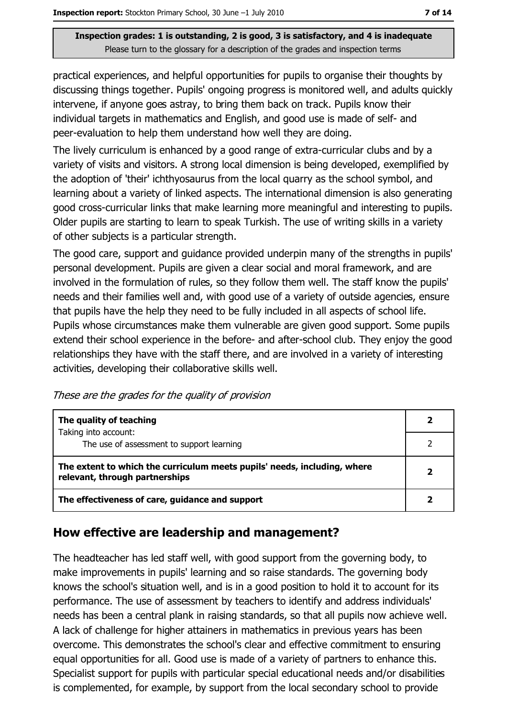practical experiences, and helpful opportunities for pupils to organise their thoughts by discussing things together. Pupils' ongoing progress is monitored well, and adults quickly intervene, if anyone goes astray, to bring them back on track. Pupils know their individual targets in mathematics and English, and good use is made of self- and peer-evaluation to help them understand how well they are doing.

The lively curriculum is enhanced by a good range of extra-curricular clubs and by a variety of visits and visitors. A strong local dimension is being developed, exemplified by the adoption of 'their' ichthyosaurus from the local quarry as the school symbol, and learning about a variety of linked aspects. The international dimension is also generating good cross-curricular links that make learning more meaningful and interesting to pupils. Older pupils are starting to learn to speak Turkish. The use of writing skills in a variety of other subjects is a particular strength.

The good care, support and guidance provided underpin many of the strengths in pupils' personal development. Pupils are given a clear social and moral framework, and are involved in the formulation of rules, so they follow them well. The staff know the pupils' needs and their families well and, with good use of a variety of outside agencies, ensure that pupils have the help they need to be fully included in all aspects of school life. Pupils whose circumstances make them vulnerable are given good support. Some pupils extend their school experience in the before- and after-school club. They enjoy the good relationships they have with the staff there, and are involved in a variety of interesting activities, developing their collaborative skills well.

These are the grades for the quality of provision

| The quality of teaching                                                                                    |              |
|------------------------------------------------------------------------------------------------------------|--------------|
| Taking into account:<br>The use of assessment to support learning                                          |              |
| The extent to which the curriculum meets pupils' needs, including, where<br>relevant, through partnerships | $\mathbf{2}$ |
| The effectiveness of care, guidance and support                                                            |              |

#### How effective are leadership and management?

The headteacher has led staff well, with good support from the governing body, to make improvements in pupils' learning and so raise standards. The governing body knows the school's situation well, and is in a good position to hold it to account for its performance. The use of assessment by teachers to identify and address individuals' needs has been a central plank in raising standards, so that all pupils now achieve well. A lack of challenge for higher attainers in mathematics in previous years has been overcome. This demonstrates the school's clear and effective commitment to ensuring equal opportunities for all. Good use is made of a variety of partners to enhance this. Specialist support for pupils with particular special educational needs and/or disabilities is complemented, for example, by support from the local secondary school to provide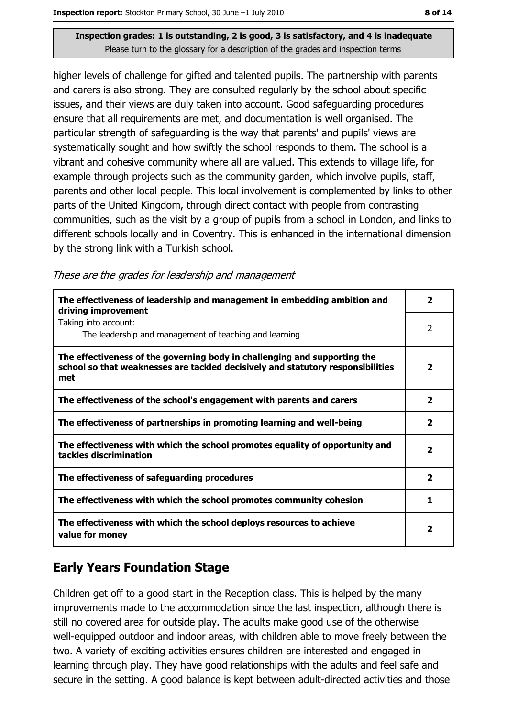higher levels of challenge for gifted and talented pupils. The partnership with parents and carers is also strong. They are consulted regularly by the school about specific issues, and their views are duly taken into account. Good safeguarding procedures ensure that all requirements are met, and documentation is well organised. The particular strength of safeguarding is the way that parents' and pupils' views are systematically sought and how swiftly the school responds to them. The school is a vibrant and cohesive community where all are valued. This extends to village life, for example through projects such as the community garden, which involve pupils, staff, parents and other local people. This local involvement is complemented by links to other parts of the United Kingdom, through direct contact with people from contrasting communities, such as the visit by a group of pupils from a school in London, and links to different schools locally and in Coventry. This is enhanced in the international dimension by the strong link with a Turkish school.

These are the grades for leadership and management

| The effectiveness of leadership and management in embedding ambition and<br>driving improvement                                                                     | 2            |
|---------------------------------------------------------------------------------------------------------------------------------------------------------------------|--------------|
| Taking into account:<br>The leadership and management of teaching and learning                                                                                      | 2            |
| The effectiveness of the governing body in challenging and supporting the<br>school so that weaknesses are tackled decisively and statutory responsibilities<br>met | 2            |
| The effectiveness of the school's engagement with parents and carers                                                                                                | $\mathbf{z}$ |
| The effectiveness of partnerships in promoting learning and well-being                                                                                              | 2            |
| The effectiveness with which the school promotes equality of opportunity and<br>tackles discrimination                                                              | 2            |
| The effectiveness of safeguarding procedures                                                                                                                        | $\mathbf{2}$ |
| The effectiveness with which the school promotes community cohesion                                                                                                 | 1            |
| The effectiveness with which the school deploys resources to achieve<br>value for money                                                                             | 2            |

## **Early Years Foundation Stage**

Children get off to a good start in the Reception class. This is helped by the many improvements made to the accommodation since the last inspection, although there is still no covered area for outside play. The adults make good use of the otherwise well-equipped outdoor and indoor areas, with children able to move freely between the two. A variety of exciting activities ensures children are interested and engaged in learning through play. They have good relationships with the adults and feel safe and secure in the setting. A good balance is kept between adult-directed activities and those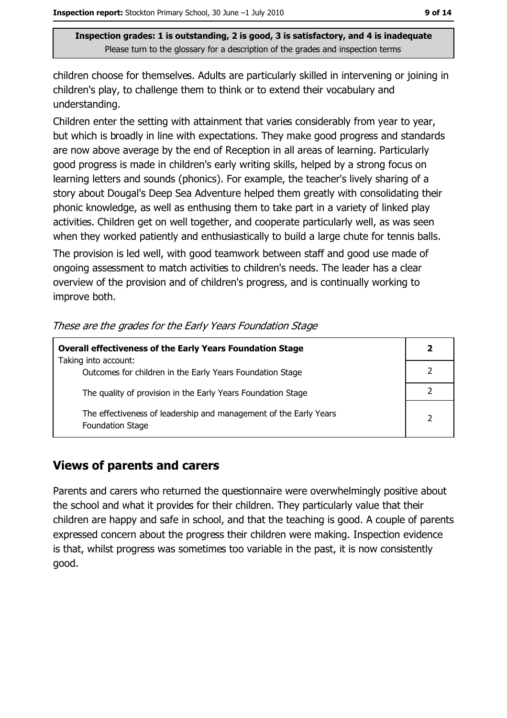children choose for themselves. Adults are particularly skilled in intervening or joining in children's play, to challenge them to think or to extend their vocabulary and understanding.

Children enter the setting with attainment that varies considerably from year to year, but which is broadly in line with expectations. They make good progress and standards are now above average by the end of Reception in all areas of learning. Particularly good progress is made in children's early writing skills, helped by a strong focus on learning letters and sounds (phonics). For example, the teacher's lively sharing of a story about Dougal's Deep Sea Adventure helped them greatly with consolidating their phonic knowledge, as well as enthusing them to take part in a variety of linked play activities. Children get on well together, and cooperate particularly well, as was seen when they worked patiently and enthusiastically to build a large chute for tennis balls. The provision is led well, with good teamwork between staff and good use made of ongoing assessment to match activities to children's needs. The leader has a clear overview of the provision and of children's progress, and is continually working to

These are the grades for the Early Years Foundation Stage

| <b>Overall effectiveness of the Early Years Foundation Stage</b>                             |  |  |
|----------------------------------------------------------------------------------------------|--|--|
| Taking into account:<br>Outcomes for children in the Early Years Foundation Stage            |  |  |
| The quality of provision in the Early Years Foundation Stage                                 |  |  |
| The effectiveness of leadership and management of the Early Years<br><b>Foundation Stage</b> |  |  |

#### **Views of parents and carers**

improve both.

Parents and carers who returned the questionnaire were overwhelmingly positive about the school and what it provides for their children. They particularly value that their children are happy and safe in school, and that the teaching is good. A couple of parents expressed concern about the progress their children were making. Inspection evidence is that, whilst progress was sometimes too variable in the past, it is now consistently good.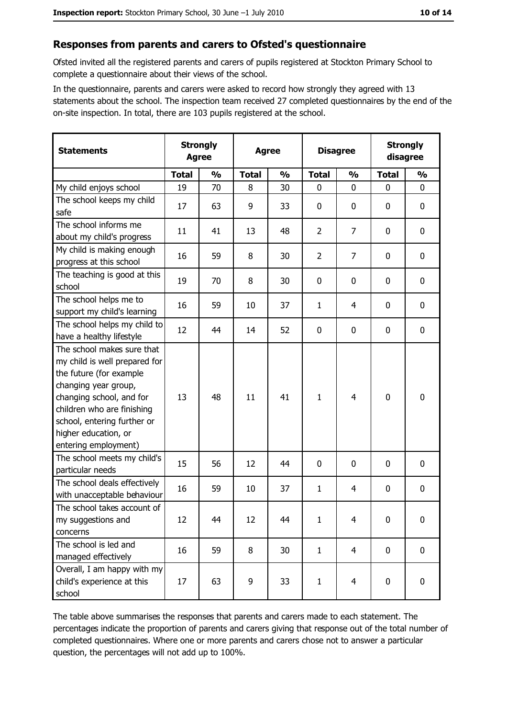#### Responses from parents and carers to Ofsted's questionnaire

Ofsted invited all the registered parents and carers of pupils registered at Stockton Primary School to complete a questionnaire about their views of the school.

In the questionnaire, parents and carers were asked to record how strongly they agreed with 13 statements about the school. The inspection team received 27 completed questionnaires by the end of the on-site inspection. In total, there are 103 pupils registered at the school.

| <b>Statements</b>                                                                                                                                                                                                                                       | <b>Strongly</b><br><b>Agree</b> |               |              | <b>Agree</b>  |                | <b>Disagree</b> |              | <b>Strongly</b><br>disagree |  |
|---------------------------------------------------------------------------------------------------------------------------------------------------------------------------------------------------------------------------------------------------------|---------------------------------|---------------|--------------|---------------|----------------|-----------------|--------------|-----------------------------|--|
|                                                                                                                                                                                                                                                         | <b>Total</b>                    | $\frac{1}{2}$ | <b>Total</b> | $\frac{0}{0}$ | <b>Total</b>   | $\frac{0}{0}$   | <b>Total</b> | $\frac{0}{0}$               |  |
| My child enjoys school                                                                                                                                                                                                                                  | 19                              | 70            | 8            | 30            | $\mathbf 0$    | 0               | 0            | $\mathbf 0$                 |  |
| The school keeps my child<br>safe                                                                                                                                                                                                                       | 17                              | 63            | 9            | 33            | $\mathbf 0$    | 0               | 0            | 0                           |  |
| The school informs me<br>about my child's progress                                                                                                                                                                                                      | 11                              | 41            | 13           | 48            | $\overline{2}$ | $\overline{7}$  | 0            | $\mathbf 0$                 |  |
| My child is making enough<br>progress at this school                                                                                                                                                                                                    | 16                              | 59            | 8            | 30            | $\overline{2}$ | 7               | 0            | $\mathbf 0$                 |  |
| The teaching is good at this<br>school                                                                                                                                                                                                                  | 19                              | 70            | 8            | 30            | $\mathbf 0$    | 0               | 0            | $\mathbf 0$                 |  |
| The school helps me to<br>support my child's learning                                                                                                                                                                                                   | 16                              | 59            | 10           | 37            | $\mathbf{1}$   | 4               | 0            | $\mathbf 0$                 |  |
| The school helps my child to<br>have a healthy lifestyle                                                                                                                                                                                                | 12                              | 44            | 14           | 52            | $\mathbf 0$    | 0               | 0            | 0                           |  |
| The school makes sure that<br>my child is well prepared for<br>the future (for example<br>changing year group,<br>changing school, and for<br>children who are finishing<br>school, entering further or<br>higher education, or<br>entering employment) | 13                              | 48            | 11           | 41            | $\mathbf{1}$   | 4               | 0            | $\mathbf 0$                 |  |
| The school meets my child's<br>particular needs                                                                                                                                                                                                         | 15                              | 56            | 12           | 44            | 0              | 0               | 0            | 0                           |  |
| The school deals effectively<br>with unacceptable behaviour                                                                                                                                                                                             | 16                              | 59            | 10           | 37            | $\mathbf{1}$   | 4               | 0            | 0                           |  |
| The school takes account of<br>my suggestions and<br>concerns                                                                                                                                                                                           | 12                              | 44            | 12           | 44            | $\mathbf{1}$   | 4               | 0            | 0                           |  |
| The school is led and<br>managed effectively                                                                                                                                                                                                            | 16                              | 59            | 8            | 30            | $\mathbf{1}$   | $\overline{4}$  | $\mathbf 0$  | $\mathbf 0$                 |  |
| Overall, I am happy with my<br>child's experience at this<br>school                                                                                                                                                                                     | 17                              | 63            | 9            | 33            | $\mathbf{1}$   | 4               | 0            | $\pmb{0}$                   |  |

The table above summarises the responses that parents and carers made to each statement. The percentages indicate the proportion of parents and carers giving that response out of the total number of completed questionnaires. Where one or more parents and carers chose not to answer a particular question, the percentages will not add up to 100%.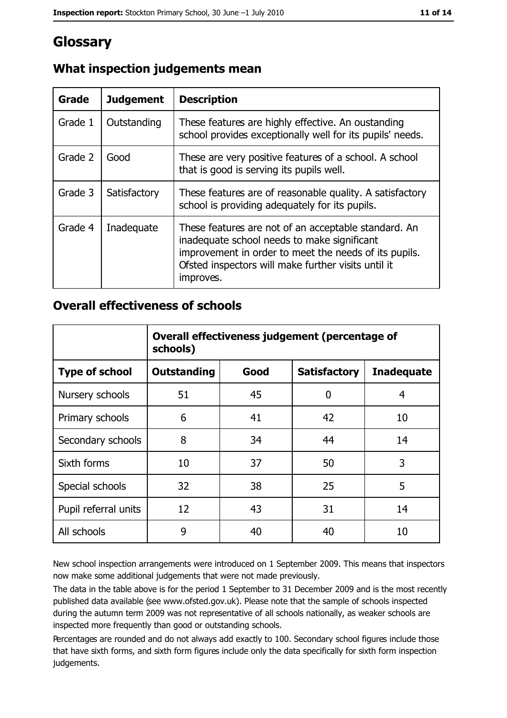## **Glossary**

| Grade   | <b>Judgement</b> | <b>Description</b>                                                                                                                                                                                                               |
|---------|------------------|----------------------------------------------------------------------------------------------------------------------------------------------------------------------------------------------------------------------------------|
| Grade 1 | Outstanding      | These features are highly effective. An oustanding<br>school provides exceptionally well for its pupils' needs.                                                                                                                  |
| Grade 2 | Good             | These are very positive features of a school. A school<br>that is good is serving its pupils well.                                                                                                                               |
| Grade 3 | Satisfactory     | These features are of reasonable quality. A satisfactory<br>school is providing adequately for its pupils.                                                                                                                       |
| Grade 4 | Inadequate       | These features are not of an acceptable standard. An<br>inadequate school needs to make significant<br>improvement in order to meet the needs of its pupils.<br>Ofsted inspectors will make further visits until it<br>improves. |

### What inspection judgements mean

#### **Overall effectiveness of schools**

|                       | Overall effectiveness judgement (percentage of<br>schools) |      |                     |                   |
|-----------------------|------------------------------------------------------------|------|---------------------|-------------------|
| <b>Type of school</b> | <b>Outstanding</b>                                         | Good | <b>Satisfactory</b> | <b>Inadequate</b> |
| Nursery schools       | 51                                                         | 45   | 0                   | 4                 |
| Primary schools       | 6                                                          | 41   | 42                  | 10                |
| Secondary schools     | 8                                                          | 34   | 44                  | 14                |
| Sixth forms           | 10                                                         | 37   | 50                  | 3                 |
| Special schools       | 32                                                         | 38   | 25                  | 5                 |
| Pupil referral units  | 12                                                         | 43   | 31                  | 14                |
| All schools           | 9                                                          | 40   | 40                  | 10                |

New school inspection arrangements were introduced on 1 September 2009. This means that inspectors now make some additional judgements that were not made previously.

The data in the table above is for the period 1 September to 31 December 2009 and is the most recently published data available (see www.ofsted.gov.uk). Please note that the sample of schools inspected during the autumn term 2009 was not representative of all schools nationally, as weaker schools are inspected more frequently than good or outstanding schools.

Percentages are rounded and do not always add exactly to 100. Secondary school figures include those that have sixth forms, and sixth form figures include only the data specifically for sixth form inspection judgements.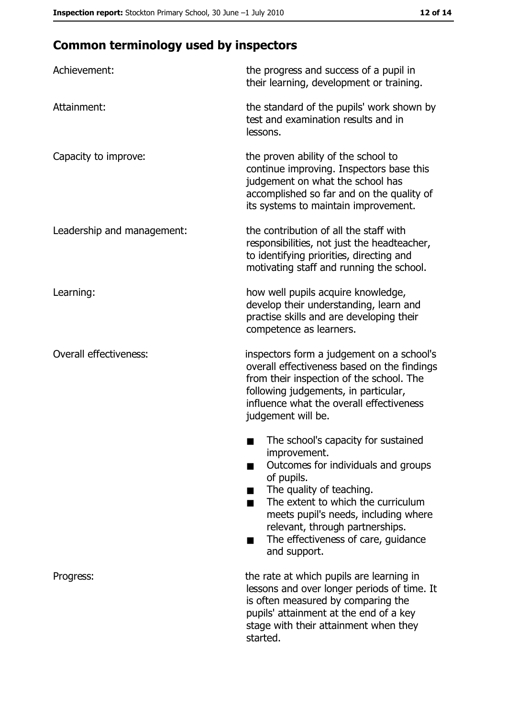## **Common terminology used by inspectors**

| Achievement:                  | the progress and success of a pupil in<br>their learning, development or training.                                                                                                                                                                                                                                |
|-------------------------------|-------------------------------------------------------------------------------------------------------------------------------------------------------------------------------------------------------------------------------------------------------------------------------------------------------------------|
| Attainment:                   | the standard of the pupils' work shown by<br>test and examination results and in<br>lessons.                                                                                                                                                                                                                      |
| Capacity to improve:          | the proven ability of the school to<br>continue improving. Inspectors base this<br>judgement on what the school has<br>accomplished so far and on the quality of<br>its systems to maintain improvement.                                                                                                          |
| Leadership and management:    | the contribution of all the staff with<br>responsibilities, not just the headteacher,<br>to identifying priorities, directing and<br>motivating staff and running the school.                                                                                                                                     |
| Learning:                     | how well pupils acquire knowledge,<br>develop their understanding, learn and<br>practise skills and are developing their<br>competence as learners.                                                                                                                                                               |
| <b>Overall effectiveness:</b> | inspectors form a judgement on a school's<br>overall effectiveness based on the findings<br>from their inspection of the school. The<br>following judgements, in particular,<br>influence what the overall effectiveness<br>judgement will be.                                                                    |
|                               | The school's capacity for sustained<br>improvement.<br>Outcomes for individuals and groups<br>of pupils.<br>The quality of teaching.<br>The extent to which the curriculum<br>meets pupil's needs, including where<br>relevant, through partnerships.<br>The effectiveness of care, guidance<br>▄<br>and support. |
| Progress:                     | the rate at which pupils are learning in<br>lessons and over longer periods of time. It<br>is often measured by comparing the<br>pupils' attainment at the end of a key<br>stage with their attainment when they<br>started.                                                                                      |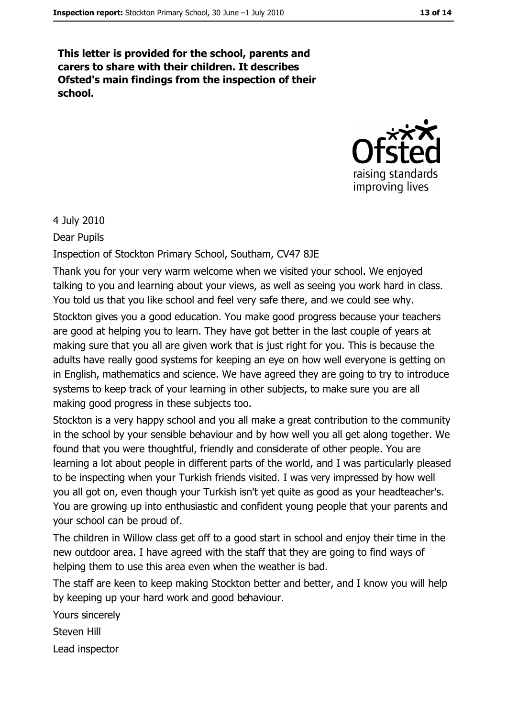This letter is provided for the school, parents and carers to share with their children. It describes Ofsted's main findings from the inspection of their school.



4 July 2010

Dear Pupils

Inspection of Stockton Primary School, Southam, CV47 8JE

Thank you for your very warm welcome when we visited your school. We enjoyed talking to you and learning about your views, as well as seeing you work hard in class. You told us that you like school and feel very safe there, and we could see why. Stockton gives you a good education. You make good progress because your teachers are good at helping you to learn. They have got better in the last couple of years at making sure that you all are given work that is just right for you. This is because the adults have really good systems for keeping an eye on how well everyone is getting on in English, mathematics and science. We have agreed they are going to try to introduce systems to keep track of your learning in other subjects, to make sure you are all making good progress in these subjects too.

Stockton is a very happy school and you all make a great contribution to the community in the school by your sensible behaviour and by how well you all get along together. We found that you were thoughtful, friendly and considerate of other people. You are learning a lot about people in different parts of the world, and I was particularly pleased to be inspecting when your Turkish friends visited. I was very impressed by how well you all got on, even though your Turkish isn't yet quite as good as your headteacher's. You are growing up into enthusiastic and confident young people that your parents and vour school can be proud of.

The children in Willow class get off to a good start in school and enjoy their time in the new outdoor area. I have agreed with the staff that they are going to find ways of helping them to use this area even when the weather is bad.

The staff are keen to keep making Stockton better and better, and I know you will help by keeping up your hard work and good behaviour.

Yours sincerely

Steven Hill

Lead inspector